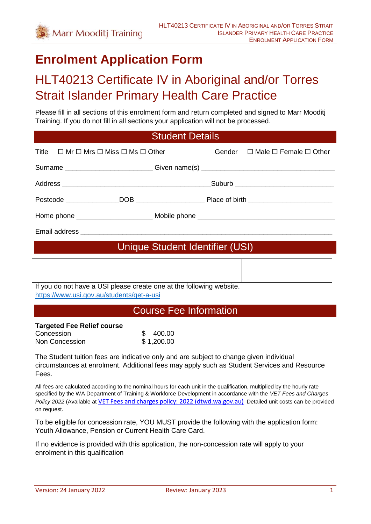# **Enrolment Application Form**

# HLT40213 Certificate IV in Aboriginal and/or Torres Strait Islander Primary Health Care Practice

Please fill in all sections of this enrolment form and return completed and signed to Marr Mooditj Training. If you do not fill in all sections your application will not be processed.

| <b>Student Details</b>                                                                                                                                                                                                                                                                                                                                                        |                                 |  |                                               |
|-------------------------------------------------------------------------------------------------------------------------------------------------------------------------------------------------------------------------------------------------------------------------------------------------------------------------------------------------------------------------------|---------------------------------|--|-----------------------------------------------|
| $\Box$ Mr $\Box$ Mrs $\Box$ Miss $\Box$ Ms $\Box$ Other<br>Title                                                                                                                                                                                                                                                                                                              |                                 |  | Gender $\Box$ Male $\Box$ Female $\Box$ Other |
| Surname ______________________________Given name(s) ____________________________                                                                                                                                                                                                                                                                                              |                                 |  |                                               |
|                                                                                                                                                                                                                                                                                                                                                                               |                                 |  |                                               |
|                                                                                                                                                                                                                                                                                                                                                                               |                                 |  |                                               |
|                                                                                                                                                                                                                                                                                                                                                                               |                                 |  |                                               |
|                                                                                                                                                                                                                                                                                                                                                                               |                                 |  |                                               |
|                                                                                                                                                                                                                                                                                                                                                                               | Unique Student Identifier (USI) |  |                                               |
|                                                                                                                                                                                                                                                                                                                                                                               |                                 |  |                                               |
| If you do not have a USI please create one at the following website.<br>https://www.usi.gov.au/students/get-a-usi                                                                                                                                                                                                                                                             |                                 |  |                                               |
|                                                                                                                                                                                                                                                                                                                                                                               | <b>Course Fee Information</b>   |  |                                               |
| <b>Targeted Fee Relief course</b><br>Concession<br>Non Concession                                                                                                                                                                                                                                                                                                             | \$400.00<br>\$1,200.00          |  |                                               |
| The Student tuition fees are indicative only and are subject to change given individual<br>circumstances at enrolment. Additional fees may apply such as Student Services and Resource<br>Fees.                                                                                                                                                                               |                                 |  |                                               |
| All fees are calculated according to the nominal hours for each unit in the qualification, multiplied by the hourly rate<br>specified by the WA Department of Training & Workforce Development in accordance with the VET Fees and Charges<br>Policy 2022 (Available at VET Fees and charges policy: 2022 (dtwd.wa.gov.au) Detailed unit costs can be provided<br>on request. |                                 |  |                                               |
| To be eligible for concession rate, YOU MUST provide the following with the application form:<br>Youth Allowance, Pension or Current Health Care Card.                                                                                                                                                                                                                        |                                 |  |                                               |

If no evidence is provided with this application, the non-concession rate will apply to your enrolment in this qualification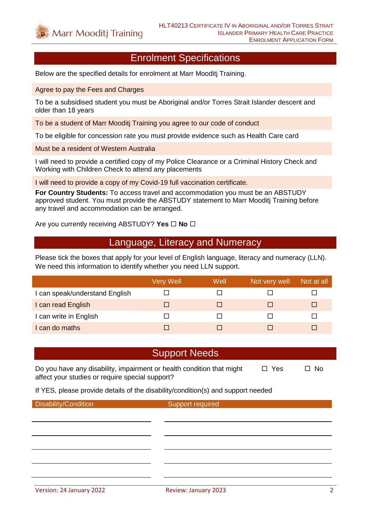### Enrolment Specifications

Below are the specified details for enrolment at Marr Mooditj Training.

Agree to pay the Fees and Charges

To be a subsidised student you must be Aboriginal and/or Torres Strait Islander descent and older than 18 years

To be a student of Marr Mooditj Training you agree to our code of conduct

To be eligible for concession rate you must provide evidence such as Health Care card

Must be a resident of Western Australia

I will need to provide a certified copy of my Police Clearance or a Criminal History Check and Working with Children Check to attend any placements

I will need to provide a copy of my Covid-19 full vaccination certificate.

**For Country Students:** To access travel and accommodation you must be an ABSTUDY approved student. You must provide the ABSTUDY statement to Marr Mooditj Training before any travel and accommodation can be arranged.

Are you currently receiving ABSTUDY? Yes  $\Box$  No  $\Box$ 

### Language, Literacy and Numeracy

Please tick the boxes that apply for your level of English language, literacy and numeracy (LLN). We need this information to identify whether you need LLN support.

|                                | <b>Very Well</b> | Well | Not very well | Not at all |
|--------------------------------|------------------|------|---------------|------------|
| I can speak/understand English |                  |      |               |            |
| I can read English             |                  |      |               | ш          |
| I can write in English         |                  |      |               |            |
| I can do maths                 |                  |      |               |            |

### Support Needs

Do you have any disability, impairment or health condition that might  $\Box$  Yes  $\Box$  No affect your studies or require special support?

If YES, please provide details of the disability/condition(s) and support needed

Disability/Condition Support required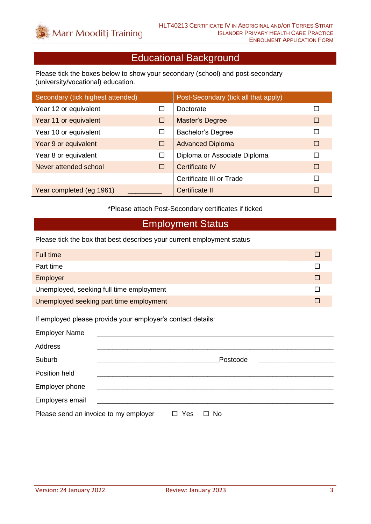# Educational Background

Please tick the boxes below to show your secondary (school) and post-secondary (university/vocational) education.

| Secondary (tick highest attended) |        | Post-Secondary (tick all that apply) |   |
|-----------------------------------|--------|--------------------------------------|---|
| Year 12 or equivalent             | П      | Doctorate                            |   |
| Year 11 or equivalent             | □      | Master's Degree                      | П |
| Year 10 or equivalent             | □      | <b>Bachelor's Degree</b>             |   |
| Year 9 or equivalent              | □      | <b>Advanced Diploma</b>              | П |
| Year 8 or equivalent              | $\Box$ | Diploma or Associate Diploma         |   |
| Never attended school             | П      | <b>Certificate IV</b>                | П |
|                                   |        | Certificate III or Trade             |   |
| Year completed (eg 1961)          |        | Certificate II                       | П |

\*Please attach Post-Secondary certificates if ticked

# Employment Status

Please tick the box that best describes your current employment status

| Full time                                |  |
|------------------------------------------|--|
| Part time                                |  |
| Employer                                 |  |
| Unemployed, seeking full time employment |  |
| Unemployed seeking part time employment  |  |

If employed please provide your employer's contact details:

| <b>Employer Name</b>                  |               |           |
|---------------------------------------|---------------|-----------|
| Address                               |               |           |
| Suburb                                |               | Postcode  |
| Position held                         |               |           |
| Employer phone                        |               |           |
| Employers email                       |               |           |
| Please send an invoice to my employer | Yes<br>$\Box$ | $\Box$ No |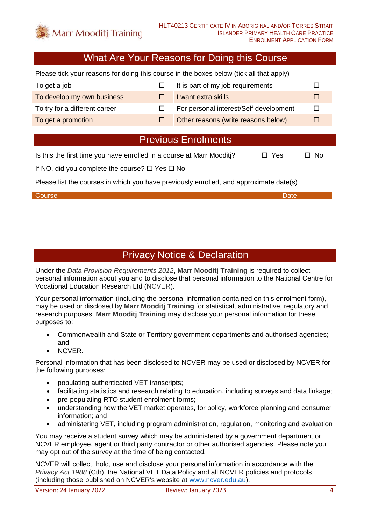### What Are Your Reasons for Doing this Course

Please tick your reasons for doing this course in the boxes below (tick all that apply)

| To get a job                  | $\Box$ It is part of my job requirements        |  |
|-------------------------------|-------------------------------------------------|--|
| To develop my own business    | I want extra skills                             |  |
| To try for a different career | $\Box$   For personal interest/Self development |  |
| To get a promotion            | Other reasons (write reasons below)             |  |

### Previous Enrolments

Is this the first time you have enrolled in a course at Marr Mooditi?  $\Box$  Yes  $\Box$  No

If NO, did you complete the course?  $\Box$  Yes  $\Box$  No

Please list the courses in which you have previously enrolled, and approximate date(s)

# Course **Date** Date of the Course of the Course of the Course of the Course of the Date

## Privacy Notice & Declaration

Under the *Data Provision Requirements 2012*, **Marr Mooditj Training** is required to collect personal information about you and to disclose that personal information to the National Centre for Vocational Education Research Ltd (NCVER).

Your personal information (including the personal information contained on this enrolment form), may be used or disclosed by **Marr Mooditj Training** for statistical, administrative, regulatory and research purposes. **Marr Mooditj Training** may disclose your personal information for these purposes to:

- Commonwealth and State or Territory government departments and authorised agencies; and
- NCVER.

Personal information that has been disclosed to NCVER may be used or disclosed by NCVER for the following purposes:

- populating authenticated VET transcripts;
- facilitating statistics and research relating to education, including surveys and data linkage;
- pre-populating RTO student enrolment forms;
- understanding how the VET market operates, for policy, workforce planning and consumer information; and
- administering VET, including program administration, regulation, monitoring and evaluation

You may receive a student survey which may be administered by a government department or NCVER employee, agent or third party contractor or other authorised agencies. Please note you may opt out of the survey at the time of being contacted.

NCVER will collect, hold, use and disclose your personal information in accordance with the *Privacy Act 1988* (Cth), the National VET Data Policy and all NCVER policies and protocols (including those published on NCVER's website at [www.ncver.edu.au\)](http://www.ncver.edu.au/).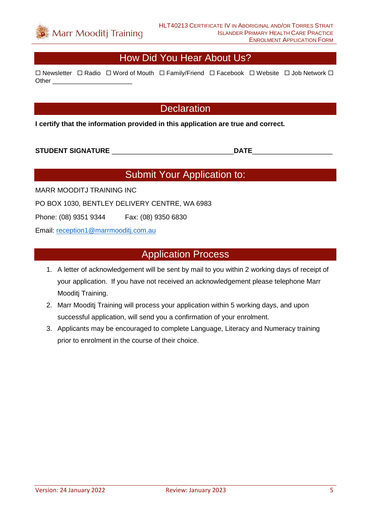

### How Did You Hear About Us?

 $\Box$  Newsletter  $\Box$  Radio  $\Box$  Word of Mouth  $\Box$  Family/Friend  $\Box$  Facebook  $\Box$  Website  $\Box$  Job Network  $\Box$ Other **Lating** 

## **Declaration**

**I certify that the information provided in this application are true and correct.**

#### **STUDENT SIGNATURE** \_\_\_\_\_\_\_\_\_\_\_\_\_\_\_\_\_\_\_\_\_\_\_\_\_\_\_\_\_\_\_\_**DATE**\_\_\_\_\_\_\_\_\_\_\_\_\_\_\_\_\_\_\_\_\_

## Submit Your Application to:

MARR MOODITJ TRAINING INC

PO BOX 1030, BENTLEY DELIVERY CENTRE, WA 6983

Phone: (08) 9351 9344 Fax: (08) 9350 6830

Email: [reception1@marrmooditj.com.au](mailto:reception1@marrmooditj.com.au)

### Application Process

- 1. A letter of acknowledgement will be sent by mail to you within 2 working days of receipt of your application. If you have not received an acknowledgement please telephone Marr Mooditj Training.
- 2. Marr Mooditj Training will process your application within 5 working days, and upon successful application, will send you a confirmation of your enrolment.
- 3. Applicants may be encouraged to complete Language, Literacy and Numeracy training prior to enrolment in the course of their choice.